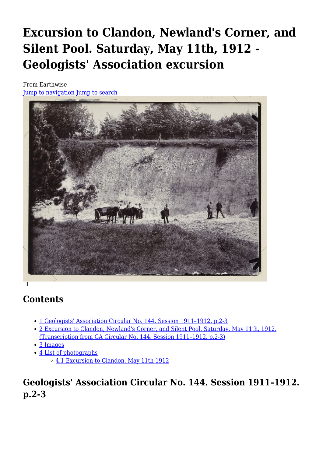# **Excursion to Clandon, Newland's Corner, and Silent Pool. Saturday, May 11th, 1912 - Geologists' Association excursion**

From Earthwise [Jump to navigation](#page--1-0) [Jump to search](#page--1-0)



# **Contents**

- [1](#Geologists.27_Association_Circular_No._144._Session_1911.E2.80.931912._p.2-3) [Geologists' Association Circular No. 144. Session 1911–1912. p.2-3](#Geologists.27_Association_Circular_No._144._Session_1911.E2.80.931912._p.2-3)
- [2](#Excursion_to_Clandon.2C_Newland.27s_Corner.2C_and_Silent_Pool._Saturday.2C_May_11th.2C_1912._.28Transcription_from_GA_Circular_No._144._Session_1911.E2.80.931912._p.2-3.29) [Excursion to Clandon, Newland's Corner, and Silent Pool. Saturday, May 11th, 1912.](#Excursion_to_Clandon.2C_Newland.27s_Corner.2C_and_Silent_Pool._Saturday.2C_May_11th.2C_1912._.28Transcription_from_GA_Circular_No._144._Session_1911.E2.80.931912._p.2-3.29) [\(Transcription from GA Circular No. 144. Session 1911–1912. p.2-3\)](#Excursion_to_Clandon.2C_Newland.27s_Corner.2C_and_Silent_Pool._Saturday.2C_May_11th.2C_1912._.28Transcription_from_GA_Circular_No._144._Session_1911.E2.80.931912._p.2-3.29)
- [3](#page--1-0) [Images](#page--1-0)
- [4](#page--1-0) [List of photographs](#page--1-0)
	- [4.1](#Excursion_to_Clandon.2C_May_11th_1912) [Excursion to Clandon, May 11th 1912](#Excursion_to_Clandon.2C_May_11th_1912)

# **Geologists' Association Circular No. 144. Session 1911–1912. p.2-3**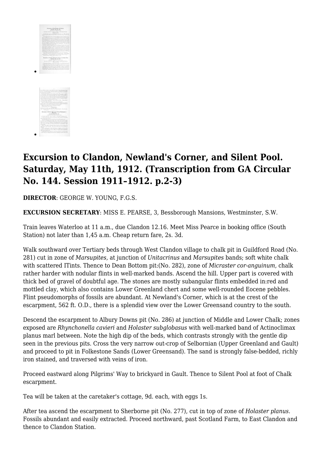



# **Excursion to Clandon, Newland's Corner, and Silent Pool. Saturday, May 11th, 1912. (Transcription from GA Circular No. 144. Session 1911–1912. p.2-3)**

**DIRECTOR**: GEORGE W. YOUNG, F.G.S.

**EXCURSION SECRETARY**: MISS E. PEARSE, 3, Bessborough Mansions, Westminster, S.W.

Train leaves Waterloo at 11 a.m., due Clandon 12.16. Meet Miss Pearce in booking office (South Station) not later than 1,45 a.m. Cheap return fare, 2s. 3d.

Walk southward over Tertiary beds through West Clandon village to chalk pit in Guildford Road (No. 281) cut in zone of *Marsupites,* at junction of *Unitacrinus* and *Marsupites* bands; soft white chalk with scattered ITints. Thence to Dean Bottom pit:(No. 282), zone of *Micraster cor-anguinum,* chalk rather harder with nodular flints in well-marked bands. Ascend the hill. Upper part is covered with thick bed of gravel of doubtful age. The stones are mostly subangular flints embedded in:red and mottled clay, which also contains Lower Greenland chert and some well-rounded Eocene pebbles. Flint pseudomorphs of fossils are abundant. At Newland's Corner, which is at the crest of the escarpment, 562 ft. O.D., there is a splendid view over the Lower Greensand country to the south.

Descend the escarpment to Albury Downs pit (No. 286) at junction of Middle and Lower Chalk; zones exposed are *Rhynchonella cavieri* and *Holaster subglobasus* with well-marked band of Actinoclimax planus marl between. Note the high dip of the beds, which contrasts strongly with the gentle dip seen in the previous pits. Cross the very narrow out-crop of Selbornian (Upper Greenland and Gault) and proceed to pit in Folkestone Sands (Lower Greensand). The sand is strongly false-bedded, richly iron stained, and traversed with veins of iron.

Proceed eastward along Pilgrims' Way to brickyard in Gault. Thence to Silent Pool at foot of Chalk escarpment.

Tea will be taken at the caretaker's cottage, 9d. each, with eggs 1s.

After tea ascend the escarpment to Sherborne pit (No. 277), cut in top of zone of *Holaster planus.* Fossils abundant and easily extracted. Proceed northward, past Scotland Farm, to East Clandon and thence to Clandon Station.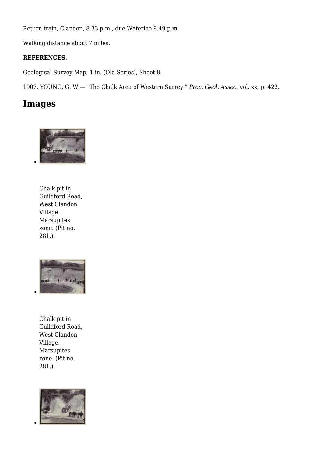Return train, Clandon, 8.33 p.m., due Waterloo 9.49 p.m.

Walking distance about 7 miles.

#### **REFERENCES.**

Geological Survey Map, 1 in. (Old Series), Sheet 8.

1907. YOUNG, G. W.—" The Chalk Area of Western Surrey." *Proc. Geol. Assoc*, vol. xx, p. 422.

#### **Images**



Chalk pit in Guildford Road, West Clandon Village. Marsupites zone. (Pit no. 281.).



Chalk pit in Guildford Road, West Clandon Village. Marsupites zone. (Pit no. 281.).

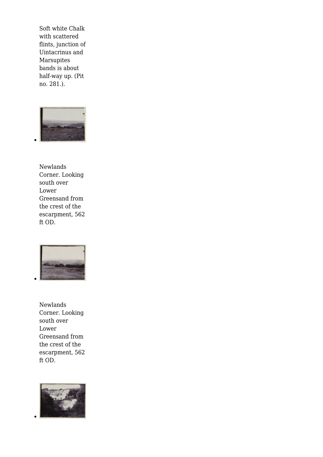Soft white Chalk with scattered flints, junction of Uintacrinus and Marsupites bands is about half-way up. (Pit no. 281.).



Newlands Corner. Looking south over Lower Greensand from the crest of the escarpment, 562 ft OD.



Newlands Corner. Looking south over Lower Greensand from the crest of the escarpment, 562 ft OD.

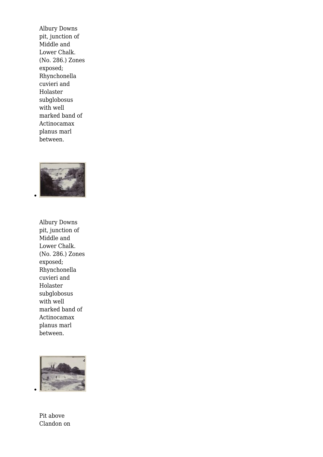Albury Downs pit, junction of Middle and Lower Chalk. (No. 286.) Zones exposed; Rhynchonella cuvieri and Holaster subglobosus with well marked band of Actinocamax planus marl between.



Albury Downs pit, junction of Middle and Lower Chalk. (No. 286.) Zones exposed; Rhynchonella cuvieri and Holaster subglobosus with well marked band of Actinocamax planus marl between.



Pit above Clandon on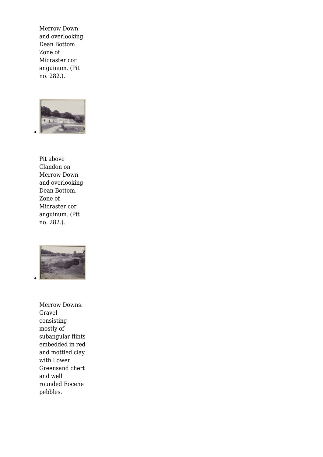Merrow Down and overlooking Dean Bottom. Zone of Micraster cor anguinum. (Pit no. 282.).



Pit above Clandon on Merrow Down and overlooking Dean Bottom. Zone of Micraster cor anguinum. (Pit no. 282.).



Merrow Downs. Gravel consisting mostly of subangular flints embedded in red and mottled clay with Lower Greensand chert and well rounded Eocene pebbles.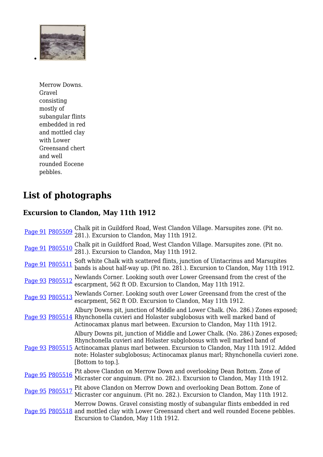

Merrow Downs. Gravel consisting mostly of subangular flints embedded in red and mottled clay with Lower Greensand chert and well rounded Eocene pebbles.

# **List of photographs**

### **Excursion to Clandon, May 11th 1912**

|                 | Page 91 P805509 | Chalk pit in Guildford Road, West Clandon Village. Marsupites zone. (Pit no.<br>281.). Excursion to Clandon, May 11th 1912.                                                                                                                                                                                                                                      |
|-----------------|-----------------|------------------------------------------------------------------------------------------------------------------------------------------------------------------------------------------------------------------------------------------------------------------------------------------------------------------------------------------------------------------|
|                 | Page 91 P805510 | Chalk pit in Guildford Road, West Clandon Village. Marsupites zone. (Pit no.<br>281.). Excursion to Clandon, May 11th 1912.                                                                                                                                                                                                                                      |
| Page 91 P805511 |                 | Soft white Chalk with scattered flints, junction of Uintacrinus and Marsupites<br>bands is about half-way up. (Pit no. 281.). Excursion to Clandon, May 11th 1912.                                                                                                                                                                                               |
| Page 93 P805512 |                 | Newlands Corner. Looking south over Lower Greensand from the crest of the<br>escarpment, 562 ft OD. Excursion to Clandon, May 11th 1912.                                                                                                                                                                                                                         |
| Page 93 P805513 |                 | Newlands Corner. Looking south over Lower Greensand from the crest of the<br>escarpment, 562 ft OD. Excursion to Clandon, May 11th 1912.                                                                                                                                                                                                                         |
|                 |                 | Albury Downs pit, junction of Middle and Lower Chalk. (No. 286.) Zones exposed;<br>Page 93 P805514 Rhynchonella cuvieri and Holaster subglobosus with well marked band of<br>Actinocamax planus marl between. Excursion to Clandon, May 11th 1912.                                                                                                               |
|                 |                 | Albury Downs pit, junction of Middle and Lower Chalk. (No. 286.) Zones exposed;<br>Rhynchonella cuvieri and Holaster subglobosus with well marked band of<br>Page 93 P805515 Actinocamax planus marl between. Excursion to Clandon, May 11th 1912. Added<br>note: Holaster subglobosus; Actinocamax planus marl; Rhynchonella cuvieri zone.<br>[Bottom to top.]. |
| Page 95 P805516 |                 | Pit above Clandon on Merrow Down and overlooking Dean Bottom. Zone of<br>Micraster cor anguinum. (Pit no. 282.). Excursion to Clandon, May 11th 1912.                                                                                                                                                                                                            |
| Page 95 P805517 |                 | Pit above Clandon on Merrow Down and overlooking Dean Bottom. Zone of<br>Micraster cor anguinum. (Pit no. 282.). Excursion to Clandon, May 11th 1912.                                                                                                                                                                                                            |
|                 |                 | Merrow Downs. Gravel consisting mostly of subangular flints embedded in red<br>Page 95 P805518 and mottled clay with Lower Greensand chert and well rounded Eocene pebbles.<br>Excursion to Clandon, May 11th 1912.                                                                                                                                              |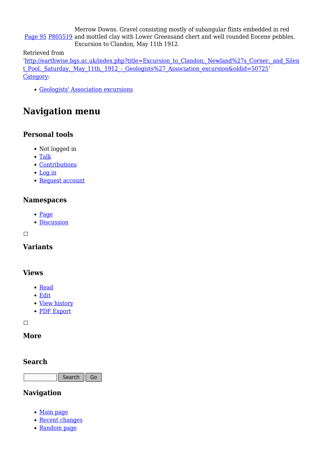[Page 95](http://pubs.bgs.ac.uk/publications.html?pubID=GA008#v=d&z=2&n=5&i=P803271.jp2&y=305&x=1199) [P805519](http://geoscenic.bgs.ac.uk/asset-bank/action/viewAsset?id=393835) and mottled clay with Lower Greensand chert and well rounded Eocene pebbles. Merrow Downs. Gravel consisting mostly of subangular flints embedded in red Excursion to Clandon, May 11th 1912.

Retrieved from

'[http://earthwise.bgs.ac.uk/index.php?title=Excursion\\_to\\_Clandon,\\_Newland%27s\\_Corner,\\_and\\_Silen](http://earthwise.bgs.ac.uk/index.php?title=Excursion_to_Clandon,_Newland%27s_Corner,_and_Silent_Pool._Saturday,_May_11th,_1912_-_Geologists%27_Association_excursion&oldid=50725) t Pool. Saturday, May 11th, 1912 - Geologists%27 Association excursion&oldid=50725' [Category](http://earthwise.bgs.ac.uk/index.php/Special:Categories):

[Geologists' Association excursions](http://earthwise.bgs.ac.uk/index.php/Category:Geologists%27_Association_excursions)

## **Navigation menu**

#### **Personal tools**

- Not logged in
- [Talk](http://earthwise.bgs.ac.uk/index.php/Special:MyTalk)
- [Contributions](http://earthwise.bgs.ac.uk/index.php/Special:MyContributions)
- [Log in](http://earthwise.bgs.ac.uk/index.php?title=Special:UserLogin&returnto=Excursion+to+Clandon%2C+Newland%27s+Corner%2C+and+Silent+Pool.+Saturday%2C+May+11th%2C+1912+-+Geologists%27+Association+excursion&returntoquery=action%3Dmpdf)
- [Request account](http://earthwise.bgs.ac.uk/index.php/Special:RequestAccount)

#### **Namespaces**

- [Page](http://earthwise.bgs.ac.uk/index.php/Excursion_to_Clandon,_Newland%27s_Corner,_and_Silent_Pool._Saturday,_May_11th,_1912_-_Geologists%27_Association_excursion)
- [Discussion](http://earthwise.bgs.ac.uk/index.php?title=Talk:Excursion_to_Clandon,_Newland%27s_Corner,_and_Silent_Pool._Saturday,_May_11th,_1912_-_Geologists%27_Association_excursion&action=edit&redlink=1)

 $\Box$ 

#### **Variants**

#### **Views**

- [Read](http://earthwise.bgs.ac.uk/index.php/Excursion_to_Clandon,_Newland%27s_Corner,_and_Silent_Pool._Saturday,_May_11th,_1912_-_Geologists%27_Association_excursion)
- [Edit](http://earthwise.bgs.ac.uk/index.php?title=Excursion_to_Clandon,_Newland%27s_Corner,_and_Silent_Pool._Saturday,_May_11th,_1912_-_Geologists%27_Association_excursion&action=edit)
- [View history](http://earthwise.bgs.ac.uk/index.php?title=Excursion_to_Clandon,_Newland%27s_Corner,_and_Silent_Pool._Saturday,_May_11th,_1912_-_Geologists%27_Association_excursion&action=history)
- [PDF Export](http://earthwise.bgs.ac.uk/index.php?title=Excursion_to_Clandon,_Newland%27s_Corner,_and_Silent_Pool._Saturday,_May_11th,_1912_-_Geologists%27_Association_excursion&action=mpdf)

 $\Box$ 

#### **More**

#### **Search**

Search Go

#### **Navigation**

- [Main page](http://earthwise.bgs.ac.uk/index.php/Main_Page)
- [Recent changes](http://earthwise.bgs.ac.uk/index.php/Special:RecentChanges)
- [Random page](http://earthwise.bgs.ac.uk/index.php/Special:Random)